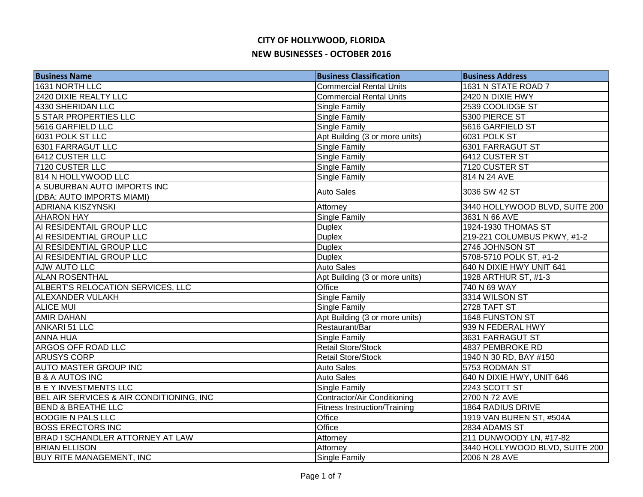| <b>Business Name</b>                                     | <b>Business Classification</b>      | <b>Business Address</b>        |
|----------------------------------------------------------|-------------------------------------|--------------------------------|
| 1631 NORTH LLC                                           | <b>Commercial Rental Units</b>      | 1631 N STATE ROAD 7            |
| 2420 DIXIE REALTY LLC                                    | <b>Commercial Rental Units</b>      | 2420 N DIXIE HWY               |
| 4330 SHERIDAN LLC                                        | Single Family                       | 2539 COOLIDGE ST               |
| <b>5 STAR PROPERTIES LLC</b>                             | Single Family                       | 5300 PIERCE ST                 |
| 5616 GARFIELD LLC                                        | Single Family                       | 5616 GARFIELD ST               |
| 6031 POLK ST LLC                                         | Apt Building (3 or more units)      | 6031 POLK ST                   |
| 6301 FARRAGUT LLC                                        | Single Family                       | 6301 FARRAGUT ST               |
| 6412 CUSTER LLC                                          | Single Family                       | 6412 CUSTER ST                 |
| 7120 CUSTER LLC                                          | Single Family                       | 7120 CUSTER ST                 |
| 814 N HOLLYWOOD LLC                                      | Single Family                       | 814 N 24 AVE                   |
| A SUBURBAN AUTO IMPORTS INC<br>(DBA: AUTO IMPORTS MIAMI) | <b>Auto Sales</b>                   | 3036 SW 42 ST                  |
| <b>ADRIANA KISZYNSKI</b>                                 | Attorney                            | 3440 HOLLYWOOD BLVD, SUITE 200 |
| <b>AHARON HAY</b>                                        | Single Family                       | 3631 N 66 AVE                  |
| AI RESIDENTAIL GROUP LLC                                 | <b>Duplex</b>                       | 1924-1930 THOMAS ST            |
| AI RESIDENTIAL GROUP LLC                                 | <b>Duplex</b>                       | 219-221 COLUMBUS PKWY, #1-2    |
| AI RESIDENTIAL GROUP LLC                                 | <b>Duplex</b>                       | 2746 JOHNSON ST                |
| AI RESIDENTIAL GROUP LLC                                 | <b>Duplex</b>                       | 5708-5710 POLK ST, #1-2        |
| <b>AJW AUTO LLC</b>                                      | <b>Auto Sales</b>                   | 640 N DIXIE HWY UNIT 641       |
| <b>ALAN ROSENTHAL</b>                                    | Apt Building (3 or more units)      | 1928 ARTHUR ST, #1-3           |
| ALBERT'S RELOCATION SERVICES, LLC                        | Office                              | 740 N 69 WAY                   |
| <b>ALEXANDER VULAKH</b>                                  | Single Family                       | 3314 WILSON ST                 |
| <b>ALICE MUI</b>                                         | Single Family                       | 2728 TAFT ST                   |
| <b>AMIR DAHAN</b>                                        | Apt Building (3 or more units)      | 1648 FUNSTON ST                |
| <b>ANKARI 51 LLC</b>                                     | Restaurant/Bar                      | 939 N FEDERAL HWY              |
| <b>ANNA HUA</b>                                          | Single Family                       | 3631 FARRAGUT ST               |
| <b>ARGOS OFF ROAD LLC</b>                                | <b>Retail Store/Stock</b>           | 4837 PEMBROKE RD               |
| <b>ARUSYS CORP</b>                                       | <b>Retail Store/Stock</b>           | 1940 N 30 RD, BAY #150         |
| <b>AUTO MASTER GROUP INC</b>                             | Auto Sales                          | 5753 RODMAN ST                 |
| <b>B &amp; A AUTOS INC</b>                               | <b>Auto Sales</b>                   | 640 N DIXIE HWY, UNIT 646      |
| <b>BEY INVESTMENTS LLC</b>                               | Single Family                       | 2243 SCOTT ST                  |
| BEL AIR SERVICES & AIR CONDITIONING, INC                 | Contractor/Air Conditioning         | 2700 N 72 AVE                  |
| <b>BEND &amp; BREATHE LLC</b>                            | <b>Fitness Instruction/Training</b> | 1864 RADIUS DRIVE              |
| <b>BOOGIE N PALS LLC</b>                                 | Office                              | 1919 VAN BUREN ST, #504A       |
| <b>BOSS ERECTORS INC</b>                                 | Office                              | 2834 ADAMS ST                  |
| <b>BRAD I SCHANDLER ATTORNEY AT LAW</b>                  | Attorney                            | 211 DUNWOODY LN, #17-82        |
| <b>BRIAN ELLISON</b>                                     | Attorney                            | 3440 HOLLYWOOD BLVD, SUITE 200 |
| <b>BUY RITE MANAGEMENT, INC</b>                          | Single Family                       | 2006 N 28 AVE                  |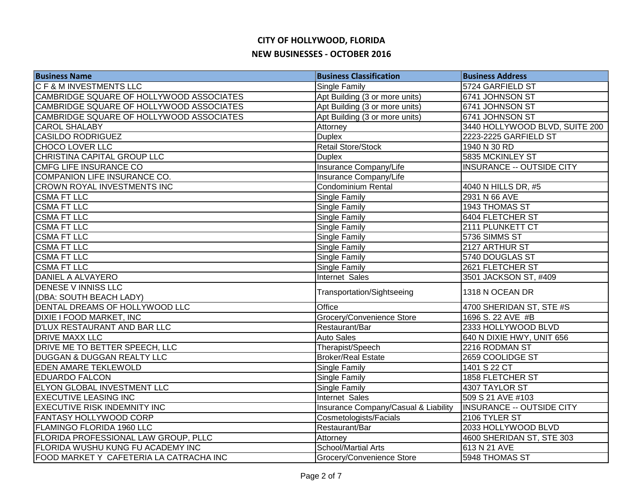| <b>Business Name</b>                     | <b>Business Classification</b>       | <b>Business Address</b>          |
|------------------------------------------|--------------------------------------|----------------------------------|
| <b>CF &amp; M INVESTMENTS LLC</b>        | Single Family                        | 5724 GARFIELD ST                 |
| CAMBRIDGE SQUARE OF HOLLYWOOD ASSOCIATES | Apt Building (3 or more units)       | 6741 JOHNSON ST                  |
| CAMBRIDGE SQUARE OF HOLLYWOOD ASSOCIATES | Apt Building (3 or more units)       | 6741 JOHNSON ST                  |
| CAMBRIDGE SQUARE OF HOLLYWOOD ASSOCIATES | Apt Building (3 or more units)       | 6741 JOHNSON ST                  |
| <b>CAROL SHALABY</b>                     | Attorney                             | 3440 HOLLYWOOD BLVD, SUITE 200   |
| <b>CASILDO RODRIGUEZ</b>                 | <b>Duplex</b>                        | 2223-2225 GARFIELD ST            |
| CHOCO LOVER LLC                          | <b>Retail Store/Stock</b>            | 1940 N 30 RD                     |
| CHRISTINA CAPITAL GROUP LLC              | <b>Duplex</b>                        | 5835 MCKINLEY ST                 |
| CMFG LIFE INSURANCE CO                   | Insurance Company/Life               | <b>INSURANCE -- OUTSIDE CITY</b> |
| COMPANION LIFE INSURANCE CO.             | Insurance Company/Life               |                                  |
| <b>CROWN ROYAL INVESTMENTS INC</b>       | Condominium Rental                   | 4040 N HILLS DR, #5              |
| <b>CSMA FT LLC</b>                       | Single Family                        | 2931 N 66 AVE                    |
| <b>CSMA FT LLC</b>                       | Single Family                        | 1943 THOMAS ST                   |
| <b>CSMA FT LLC</b>                       | Single Family                        | 6404 FLETCHER ST                 |
| <b>CSMA FT LLC</b>                       | Single Family                        | 2111 PLUNKETT CT                 |
| <b>CSMA FT LLC</b>                       | Single Family                        | 5736 SIMMS ST                    |
| <b>CSMA FT LLC</b>                       | <b>Single Family</b>                 | 2127 ARTHUR ST                   |
| <b>CSMA FT LLC</b>                       | Single Family                        | 5740 DOUGLAS ST                  |
| <b>CSMA FT LLC</b>                       | Single Family                        | 2621 FLETCHER ST                 |
| DANIEL A ALVAYERO                        | Internet Sales                       | 3501 JACKSON ST, #409            |
| <b>DENESE V INNISS LLC</b>               | Transportation/Sightseeing           | 1318 N OCEAN DR                  |
| (DBA: SOUTH BEACH LADY)                  |                                      |                                  |
| DENTAL DREAMS OF HOLLYWOOD LLC           | Office                               | 4700 SHERIDAN ST, STE #S         |
| DIXIE I FOOD MARKET, INC                 | Grocery/Convenience Store            | 1696 S. 22 AVE #B                |
| <b>D'LUX RESTAURANT AND BAR LLC</b>      | Restaurant/Bar                       | 2333 HOLLYWOOD BLVD              |
| <b>DRIVE MAXX LLC</b>                    | Auto Sales                           | 640 N DIXIE HWY, UNIT 656        |
| DRIVE ME TO BETTER SPEECH, LLC           | Therapist/Speech                     | 2216 RODMAN ST                   |
| <b>DUGGAN &amp; DUGGAN REALTY LLC</b>    | <b>Broker/Real Estate</b>            | 2659 COOLIDGE ST                 |
| <b>EDEN AMARE TEKLEWOLD</b>              | Single Family                        | 1401 S 22 CT                     |
| <b>EDUARDO FALCON</b>                    | Single Family                        | 1858 FLETCHER ST                 |
| <b>ELYON GLOBAL INVESTMENT LLC</b>       | Single Family                        | 4307 TAYLOR ST                   |
| <b>EXECUTIVE LEASING INC</b>             | Internet Sales                       | 509 S 21 AVE #103                |
| <b>EXECUTIVE RISK INDEMNITY INC</b>      | Insurance Company/Casual & Liability | <b>INSURANCE -- OUTSIDE CITY</b> |
| FANTASY HOLLYWOOD CORP                   | Cosmetologists/Facials               | 2106 TYLER ST                    |
| FLAMINGO FLORIDA 1960 LLC                | Restaurant/Bar                       | 2033 HOLLYWOOD BLVD              |
| FLORIDA PROFESSIONAL LAW GROUP, PLLC     | Attorney                             | 4600 SHERIDAN ST, STE 303        |
| FLORIDA WUSHU KUNG FU ACADEMY INC        | <b>School/Martial Arts</b>           | 613 N 21 AVE                     |
| FOOD MARKET Y CAFETERIA LA CATRACHA INC  | Grocery/Convenience Store            | 5948 THOMAS ST                   |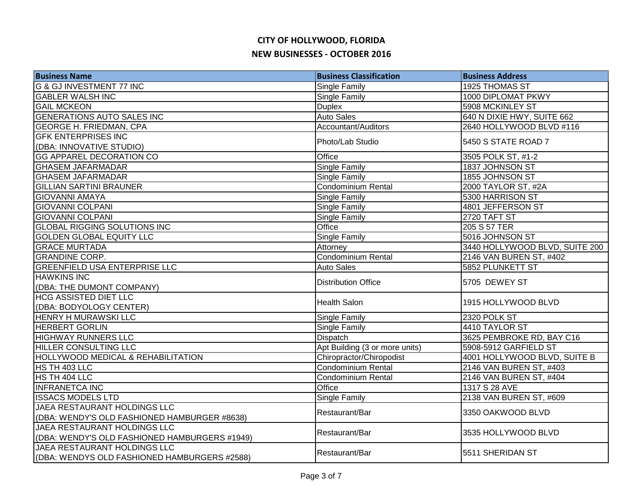| <b>Business Name</b>                          | <b>Business Classification</b> | <b>Business Address</b>        |
|-----------------------------------------------|--------------------------------|--------------------------------|
| <b>G &amp; GJ INVESTMENT 77 INC</b>           | Single Family                  | 1925 THOMAS ST                 |
| <b>GABLER WALSH INC</b>                       | Single Family                  | 1000 DIPLOMAT PKWY             |
| <b>GAIL MCKEON</b>                            | <b>Duplex</b>                  | 5908 MCKINLEY ST               |
| <b>GENERATIONS AUTO SALES INC</b>             | <b>Auto Sales</b>              | 640 N DIXIE HWY, SUITE 662     |
| <b>GEORGE H. FRIEDMAN, CPA</b>                | Accountant/Auditors            | 2640 HOLLYWOOD BLVD #116       |
| <b>GFK ENTERPRISES INC</b>                    | Photo/Lab Studio               | 5450 S STATE ROAD 7            |
| (DBA: INNOVATIVE STUDIO)                      |                                |                                |
| <b>GG APPAREL DECORATION CO</b>               | Office                         | 3505 POLK ST, #1-2             |
| <b>GHASEM JAFARMADAR</b>                      | Single Family                  | 1837 JOHNSON ST                |
| <b>GHASEM JAFARMADAR</b>                      | Single Family                  | 1855 JOHNSON ST                |
| <b>GILLIAN SARTINI BRAUNER</b>                | Condominium Rental             | 2000 TAYLOR ST, #2A            |
| <b>GIOVANNI AMAYA</b>                         | Single Family                  | 5300 HARRISON ST               |
| <b>GIOVANNI COLPANI</b>                       | Single Family                  | 4801 JEFFERSON ST              |
| <b>GIOVANNI COLPANI</b>                       | Single Family                  | 2720 TAFT ST                   |
| <b>GLOBAL RIGGING SOLUTIONS INC</b>           | Office                         | 205 S 57 TER                   |
| <b>GOLDEN GLOBAL EQUITY LLC</b>               | <b>Single Family</b>           | 5016 JOHNSON ST                |
| <b>GRACE MURTADA</b>                          | Attorney                       | 3440 HOLLYWOOD BLVD, SUITE 200 |
| <b>GRANDINE CORP.</b>                         | <b>Condominium Rental</b>      | 2146 VAN BUREN ST, #402        |
| <b>GREENFIELD USA ENTERPRISE LLC</b>          | <b>Auto Sales</b>              | 5852 PLUNKETT ST               |
| <b>HAWKINS INC</b>                            | <b>Distribution Office</b>     | 5705 DEWEY ST                  |
| (DBA: THE DUMONT COMPANY)                     |                                |                                |
| <b>HCG ASSISTED DIET LLC</b>                  | <b>Health Salon</b>            | 1915 HOLLYWOOD BLVD            |
| (DBA: BODYOLOGY CENTER)                       |                                |                                |
| <b>HENRY H MURAWSKI LLC</b>                   | Single Family                  | 2320 POLK ST                   |
| <b>HERBERT GORLIN</b>                         | Single Family                  | 4410 TAYLOR ST                 |
| <b>HIGHWAY RUNNERS LLC</b>                    | Dispatch                       | 3625 PEMBROKE RD, BAY C16      |
| <b>HILLER CONSULTING LLC</b>                  | Apt Building (3 or more units) | 5908-5912 GARFIELD ST          |
| <b>HOLLYWOOD MEDICAL &amp; REHABILITATION</b> | Chiropractor/Chiropodist       | 4001 HOLLYWOOD BLVD, SUITE B   |
| HS TH 403 LLC                                 | <b>Condominium Rental</b>      | 2146 VAN BUREN ST, #403        |
| HS TH 404 LLC                                 | <b>Condominium Rental</b>      | 2146 VAN BUREN ST, #404        |
| <b>INFRANETCA INC</b>                         | Office                         | 1317 S 28 AVE                  |
| <b>ISSACS MODELS LTD</b>                      | Single Family                  | 2138 VAN BUREN ST, #609        |
| JAEA RESTAURANT HOLDINGS LLC                  | Restaurant/Bar                 | 3350 OAKWOOD BLVD              |
| (DBA: WENDY'S OLD FASHIONED HAMBURGER #8638)  |                                |                                |
| JAEA RESTAURANT HOLDINGS LLC                  | Restaurant/Bar                 | 3535 HOLLYWOOD BLVD            |
| (DBA: WENDY'S OLD FASHIONED HAMBURGERS #1949) |                                |                                |
| JAEA RESTAURANT HOLDINGS LLC                  | Restaurant/Bar                 | 5511 SHERIDAN ST               |
| (DBA: WENDYS OLD FASHIONED HAMBURGERS #2588)  |                                |                                |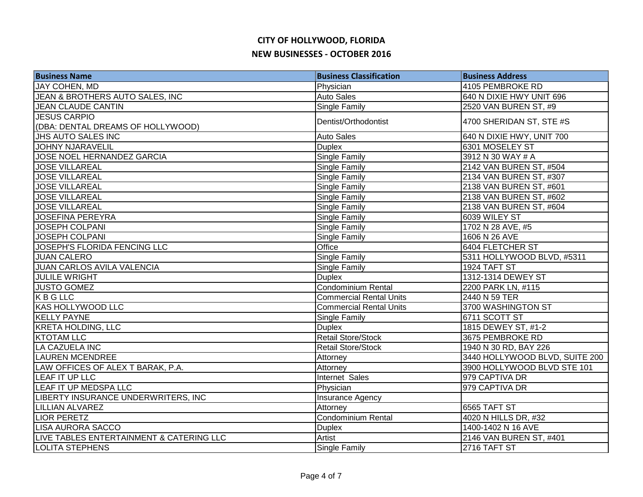| <b>Business Name</b>                     | <b>Business Classification</b> | <b>Business Address</b>        |
|------------------------------------------|--------------------------------|--------------------------------|
| JAY COHEN, MD                            | Physician                      | 4105 PEMBROKE RD               |
| JEAN & BROTHERS AUTO SALES, INC          | <b>Auto Sales</b>              | 640 N DIXIE HWY UNIT 696       |
| <b>JEAN CLAUDE CANTIN</b>                | Single Family                  | 2520 VAN BUREN ST, #9          |
| <b>JESUS CARPIO</b>                      | Dentist/Orthodontist           | 4700 SHERIDAN ST, STE #S       |
| (DBA: DENTAL DREAMS OF HOLLYWOOD)        |                                |                                |
| JHS AUTO SALES INC                       | <b>Auto Sales</b>              | 640 N DIXIE HWY, UNIT 700      |
| <b>JOHNY NJARAVELIL</b>                  | <b>Duplex</b>                  | 6301 MOSELEY ST                |
| <b>JOSE NOEL HERNANDEZ GARCIA</b>        | Single Family                  | 3912 N 30 WAY # A              |
| <b>JOSE VILLAREAL</b>                    | Single Family                  | 2142 VAN BUREN ST, #504        |
| <b>JOSE VILLAREAL</b>                    | Single Family                  | 2134 VAN BUREN ST, #307        |
| <b>JOSE VILLAREAL</b>                    | Single Family                  | 2138 VAN BUREN ST, #601        |
| <b>JOSE VILLAREAL</b>                    | Single Family                  | 2138 VAN BUREN ST, #602        |
| <b>JOSE VILLAREAL</b>                    | Single Family                  | 2138 VAN BUREN ST, #604        |
| <b>JOSEFINA PEREYRA</b>                  | Single Family                  | 6039 WILEY ST                  |
| JOSEPH COLPANI                           | Single Family                  | 1702 N 28 AVE, #5              |
| <b>JOSEPH COLPANI</b>                    | Single Family                  | 1606 N 26 AVE                  |
| <b>JOSEPH'S FLORIDA FENCING LLC</b>      | Office                         | 6404 FLETCHER ST               |
| <b>JUAN CALERO</b>                       | Single Family                  | 5311 HOLLYWOOD BLVD, #5311     |
| <b>JUAN CARLOS AVILA VALENCIA</b>        | Single Family                  | 1924 TAFT ST                   |
| <b>JULILE WRIGHT</b>                     | <b>Duplex</b>                  | 1312-1314 DEWEY ST             |
| <b>JUSTO GOMEZ</b>                       | <b>Condominium Rental</b>      | 2200 PARK LN, #115             |
| KBGLLC                                   | <b>Commercial Rental Units</b> | 2440 N 59 TER                  |
| <b>KAS HOLLYWOOD LLC</b>                 | <b>Commercial Rental Units</b> | 3700 WASHINGTON ST             |
| <b>KELLY PAYNE</b>                       | Single Family                  | 6711 SCOTT ST                  |
| <b>KRETA HOLDING, LLC</b>                | <b>Duplex</b>                  | 1815 DEWEY ST, #1-2            |
| <b>KTOTAM LLC</b>                        | Retail Store/Stock             | 3675 PEMBROKE RD               |
| LA CAZUELA INC                           | <b>Retail Store/Stock</b>      | 1940 N 30 RD, BAY 226          |
| <b>LAUREN MCENDREE</b>                   | Attorney                       | 3440 HOLLYWOOD BLVD, SUITE 200 |
| LAW OFFICES OF ALEX T BARAK, P.A.        | Attorney                       | 3900 HOLLYWOOD BLVD STE 101    |
| LEAF IT UP LLC                           | Internet Sales                 | 979 CAPTIVA DR                 |
| LEAF IT UP MEDSPA LLC                    | Physician                      | 979 CAPTIVA DR                 |
| LIBERTY INSURANCE UNDERWRITERS, INC      | Insurance Agency               |                                |
| <b>LILLIAN ALVAREZ</b>                   | Attorney                       | 6565 TAFT ST                   |
| <b>LIOR PERETZ</b>                       | Condominium Rental             | 4020 N HILLS DR, #32           |
| <b>LISA AURORA SACCO</b>                 | <b>Duplex</b>                  | 1400-1402 N 16 AVE             |
| LIVE TABLES ENTERTAINMENT & CATERING LLC | Artist                         | 2146 VAN BUREN ST, #401        |
| <b>LOLITA STEPHENS</b>                   | Single Family                  | 2716 TAFT ST                   |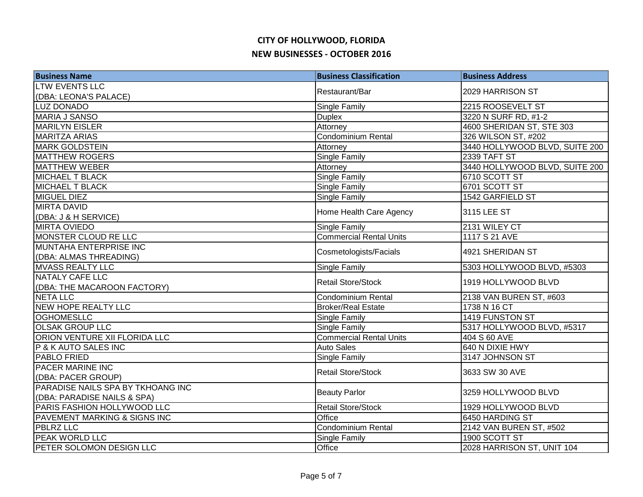| <b>Business Name</b>              | <b>Business Classification</b> | <b>Business Address</b>        |
|-----------------------------------|--------------------------------|--------------------------------|
| <b>LTW EVENTS LLC</b>             | Restaurant/Bar                 | 2029 HARRISON ST               |
| (DBA: LEONA'S PALACE)             |                                |                                |
| <b>LUZ DONADO</b>                 | Single Family                  | 2215 ROOSEVELT ST              |
| MARIA J SANSO                     | <b>Duplex</b>                  | 3220 N SURF RD, #1-2           |
| <b>MARILYN EISLER</b>             | Attorney                       | 4600 SHERIDAN ST, STE 303      |
| <b>MARITZA ARIAS</b>              | Condominium Rental             | 326 WILSON ST, #202            |
| <b>MARK GOLDSTEIN</b>             | Attorney                       | 3440 HOLLYWOOD BLVD, SUITE 200 |
| <b>MATTHEW ROGERS</b>             | Single Family                  | 2339 TAFT ST                   |
| <b>MATTHEW WEBER</b>              | Attorney                       | 3440 HOLLYWOOD BLVD, SUITE 200 |
| <b>MICHAEL T BLACK</b>            | Single Family                  | 6710 SCOTT ST                  |
| <b>MICHAEL T BLACK</b>            | Single Family                  | 6701 SCOTT ST                  |
| MIGUEL DIEZ                       | Single Family                  | 1542 GARFIELD ST               |
| <b>MIRTA DAVID</b>                | Home Health Care Agency        | 3115 LEE ST                    |
| (DBA: J & H SERVICE)              |                                |                                |
| <b>MIRTA OVIEDO</b>               | Single Family                  | 2131 WILEY CT                  |
| MONSTER CLOUD RE LLC              | <b>Commercial Rental Units</b> | 1117 S 21 AVE                  |
| MUNTAHA ENTERPRISE INC            | Cosmetologists/Facials         | 4921 SHERIDAN ST               |
| (DBA: ALMAS THREADING)            |                                |                                |
| <b>MVASS REALTY LLC</b>           | Single Family                  | 5303 HOLLYWOOD BLVD, #5303     |
| <b>NATALY CAFE LLC</b>            | <b>Retail Store/Stock</b>      | 1919 HOLLYWOOD BLVD            |
| (DBA: THE MACAROON FACTORY)       |                                |                                |
| <b>NETA LLC</b>                   | Condominium Rental             | 2138 VAN BUREN ST, #603        |
| <b>NEW HOPE REALTY LLC</b>        | <b>Broker/Real Estate</b>      | 1738 N 16 CT                   |
| <b>OGHOMESLLC</b>                 | Single Family                  | 1419 FUNSTON ST                |
| <b>OLSAK GROUP LLC</b>            | Single Family                  | 5317 HOLLYWOOD BLVD, #5317     |
| ORION VENTURE XII FLORIDA LLC     | <b>Commercial Rental Units</b> | 404 S 60 AVE                   |
| P & K AUTO SALES INC              | <b>Auto Sales</b>              | 640 N DIXIE HWY                |
| PABLO FRIED                       | Single Family                  | 3147 JOHNSON ST                |
| <b>PACER MARINE INC</b>           | <b>Retail Store/Stock</b>      | 3633 SW 30 AVE                 |
| (DBA: PACER GROUP)                |                                |                                |
| PARADISE NAILS SPA BY TKHOANG INC | <b>Beauty Parlor</b>           | 3259 HOLLYWOOD BLVD            |
| (DBA: PARADISE NAILS & SPA)       |                                |                                |
| PARIS FASHION HOLLYWOOD LLC       | <b>Retail Store/Stock</b>      | 1929 HOLLYWOOD BLVD            |
| PAVEMENT MARKING & SIGNS INC      | Office                         | 6450 HARDING ST                |
| <b>PBLRZ LLC</b>                  | Condominium Rental             | 2142 VAN BUREN ST, #502        |
| <b>PEAK WORLD LLC</b>             | Single Family                  | 1900 SCOTT ST                  |
| PETER SOLOMON DESIGN LLC          | Office                         | 2028 HARRISON ST, UNIT 104     |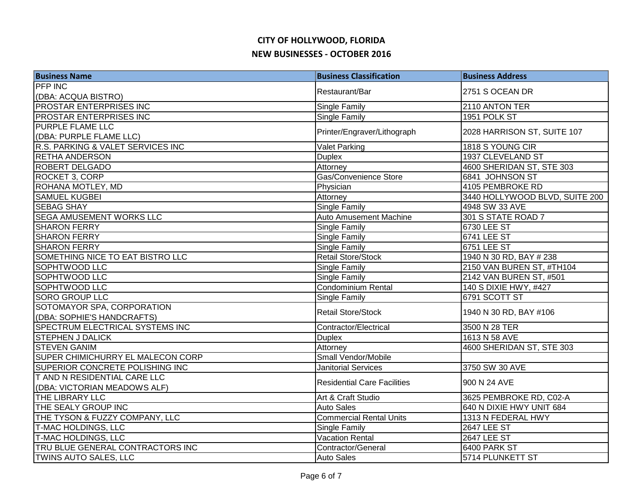| <b>Business Name</b>              | <b>Business Classification</b>     | <b>Business Address</b>        |
|-----------------------------------|------------------------------------|--------------------------------|
| <b>PFP INC</b>                    | Restaurant/Bar                     | 2751 S OCEAN DR                |
| (DBA: ACQUA BISTRO)               |                                    |                                |
| PROSTAR ENTERPRISES INC           | Single Family                      | 2110 ANTON TER                 |
| <b>PROSTAR ENTERPRISES INC</b>    | Single Family                      | 1951 POLK ST                   |
| <b>PURPLE FLAME LLC</b>           | Printer/Engraver/Lithograph        | 2028 HARRISON ST, SUITE 107    |
| (DBA: PURPLE FLAME LLC)           |                                    |                                |
| R.S. PARKING & VALET SERVICES INC | <b>Valet Parking</b>               | 1818 S YOUNG CIR               |
| <b>RETHA ANDERSON</b>             | Duplex                             | 1937 CLEVELAND ST              |
| <b>ROBERT DELGADO</b>             | Attorney                           | 4600 SHERIDAN ST, STE 303      |
| ROCKET 3, CORP                    | Gas/Convenience Store              | 6841 JOHNSON ST                |
| ROHANA MOTLEY, MD                 | Physician                          | 4105 PEMBROKE RD               |
| <b>SAMUEL KUGBEI</b>              | Attorney                           | 3440 HOLLYWOOD BLVD, SUITE 200 |
| <b>SEBAG SHAY</b>                 | Single Family                      | 4948 SW 33 AVE                 |
| <b>SEGA AMUSEMENT WORKS LLC</b>   | Auto Amusement Machine             | 301 S STATE ROAD 7             |
| <b>SHARON FERRY</b>               | Single Family                      | 6730 LEE ST                    |
| <b>SHARON FERRY</b>               | Single Family                      | <b>6741 LEE ST</b>             |
| <b>SHARON FERRY</b>               | Single Family                      | 6751 LEE ST                    |
| SOMETHING NICE TO EAT BISTRO LLC  | <b>Retail Store/Stock</b>          | 1940 N 30 RD, BAY # 238        |
| SOPHTWOOD LLC                     | Single Family                      | 2150 VAN BUREN ST, #TH104      |
| <b>SOPHTWOOD LLC</b>              | Single Family                      | 2142 VAN BUREN ST, #501        |
| <b>SOPHTWOOD LLC</b>              | <b>Condominium Rental</b>          | 140 S DIXIE HWY, #427          |
| <b>SORO GROUP LLC</b>             | Single Family                      | 6791 SCOTT ST                  |
| SOTOMAYOR SPA, CORPORATION        | <b>Retail Store/Stock</b>          | 1940 N 30 RD, BAY #106         |
| (DBA: SOPHIE'S HANDCRAFTS)        |                                    |                                |
| SPECTRUM ELECTRICAL SYSTEMS INC   | Contractor/Electrical              | 3500 N 28 TER                  |
| <b>STEPHEN J DALICK</b>           | <b>Duplex</b>                      | 1613 N 58 AVE                  |
| <b>STEVEN GANIM</b>               | Attorney                           | 4600 SHERIDAN ST, STE 303      |
| SUPER CHIMICHURRY EL MALECON CORP | Small Vendor/Mobile                |                                |
| SUPERIOR CONCRETE POLISHING INC   | <b>Janitorial Services</b>         | 3750 SW 30 AVE                 |
| T AND N RESIDENTIAL CARE LLC      |                                    | 900 N 24 AVE                   |
| (DBA: VICTORIAN MEADOWS ALF)      | <b>Residential Care Facilities</b> |                                |
| <b>THE LIBRARY LLC</b>            | Art & Craft Studio                 | 3625 PEMBROKE RD, C02-A        |
| THE SEALY GROUP INC               | <b>Auto Sales</b>                  | 640 N DIXIE HWY UNIT 684       |
| THE TYSON & FUZZY COMPANY, LLC    | <b>Commercial Rental Units</b>     | 1313 N FEDERAL HWY             |
| <b>T-MAC HOLDINGS, LLC</b>        | Single Family                      | 2647 LEE ST                    |
| T-MAC HOLDINGS, LLC               | <b>Vacation Rental</b>             | 2647 LEE ST                    |
| TRU BLUE GENERAL CONTRACTORS INC  | Contractor/General                 | 6400 PARK ST                   |
| TWINS AUTO SALES, LLC             | <b>Auto Sales</b>                  | 5714 PLUNKETT ST               |